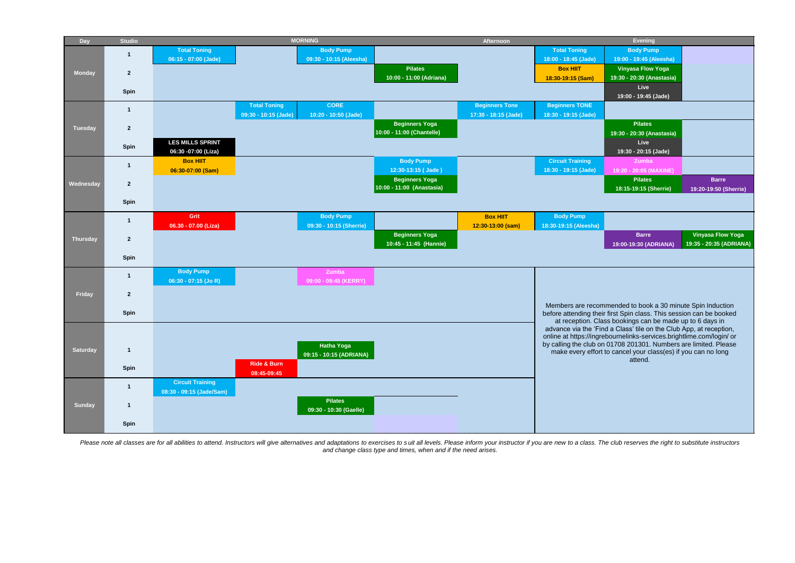| <b>Day</b>      | <b>Studio</b>  | <b>MORNING</b>                                                                     | Afternoon             | <b>Evening</b>                                                                                                                             |
|-----------------|----------------|------------------------------------------------------------------------------------|-----------------------|--------------------------------------------------------------------------------------------------------------------------------------------|
|                 | -1             | <b>Body Pump</b><br><b>Total Toning</b>                                            |                       | <b>Total Toning</b><br><b>Body Pump</b>                                                                                                    |
|                 |                | 09:30 - 10:15 (Aleesha)<br>06:15 - 07:00 (Jade)                                    |                       | 18:00 - 18:45 (Jade)<br>19:00 - 19:45 (Aleesha)                                                                                            |
| <b>Monday</b>   | $\overline{2}$ | <b>Pilates</b><br>10:00 - 11:00 (Adriana)                                          |                       | <b>Vinyasa Flow Yoga</b><br><b>Box HIIT</b><br>19:30 - 20:30 (Anastasia)<br>18:30-19:15 (Sam)                                              |
|                 |                |                                                                                    |                       | Live                                                                                                                                       |
|                 | Spin           |                                                                                    |                       | 19:00 - 19:45 (Jade)                                                                                                                       |
|                 | $\overline{1}$ | <b>Total Toning</b><br><b>CORE</b>                                                 | <b>Beginners Tone</b> | <b>Beginners TONE</b>                                                                                                                      |
|                 |                | 09:30 - 10:15 (Jade)<br>10:20 - 10:50 (Jade)<br><b>Beginners Yoga</b>              | 17:30 - 18:15 (Jade)  | 18:30 - 19:15 (Jade)<br><b>Pilates</b>                                                                                                     |
| <b>Tuesday</b>  | $\overline{2}$ | 10:00 - 11:00 (Chantelle)                                                          |                       | 19:30 - 20:30 (Anastasia)                                                                                                                  |
|                 |                | <b>LES MILLS SPRINT</b>                                                            |                       | Live                                                                                                                                       |
|                 | Spin           | 06:30 -07:00 (Liza)                                                                |                       | 19:30 - 20:15 (Jade)                                                                                                                       |
|                 | $\overline{1}$ | <b>Body Pump</b><br><b>Box HIIT</b>                                                |                       | <b>Circuit Training</b><br><b>Zumba</b>                                                                                                    |
|                 |                | 12:30-13:15 (Jade)<br>06:30-07:00 (Sam)<br><b>Beginners Yoga</b>                   |                       | 18:30 - 19:15 (Jade)<br>19:20 - 20:05 (MAXINE)<br><b>Pilates</b><br><b>Barre</b>                                                           |
| Wednesday       | $\mathbf{2}$   | 10:00 - 11:00 (Anastasia)                                                          |                       | 18:15-19:15 (Sherrie)<br>19:20-19:50 (Sherrie)                                                                                             |
|                 | Spin           |                                                                                    |                       |                                                                                                                                            |
|                 |                |                                                                                    |                       |                                                                                                                                            |
|                 | $\mathbf{1}$   | <b>Body Pump</b><br><b>Grit</b><br>09:30 - 10:15 (Sherrie)<br>06.30 - 07.00 (Liza) | <b>Box HIIT</b>       | <b>Body Pump</b><br>18:30-19:15 (Aleesha)                                                                                                  |
|                 |                | <b>Beginners Yoga</b>                                                              | 12:30-13:00 (sam)     | <b>Vinyasa Flow Yoga</b><br><b>Barre</b>                                                                                                   |
| <b>Thursday</b> | $\overline{2}$ | 10:45 - 11:45 (Hannie)                                                             |                       | 19:35 - 20:35 (ADRIANA)<br>19:00-19:30 (ADRIANA)                                                                                           |
|                 | Spin           |                                                                                    |                       |                                                                                                                                            |
|                 |                | <b>Body Pump</b><br>Zumba                                                          |                       |                                                                                                                                            |
|                 | $\mathbf{1}$   | 06:30 - 07:15 (Jo R)<br>09:00 - 09:45 (KERRY)                                      |                       |                                                                                                                                            |
| Friday          |                |                                                                                    |                       |                                                                                                                                            |
|                 | $\mathbf{2}$   |                                                                                    |                       | Members are recommended to book a 30 minute Spin Induction                                                                                 |
|                 | Spin           |                                                                                    |                       | before attending their first Spin class. This session can be booked                                                                        |
|                 |                |                                                                                    |                       | at reception. Class bookings can be made up to 6 days in                                                                                   |
|                 |                |                                                                                    |                       | advance via the 'Find a Class' tile on the Club App, at reception,<br>online at https://ingrebournelinks-services.brightlime.com/login/ or |
| <b>Saturday</b> | $\mathbf{1}$   | <b>Hatha Yoga</b>                                                                  |                       | by calling the club on 01708 201301. Numbers are limited. Please                                                                           |
|                 |                | 09:15 - 10:15 (ADRIANA)                                                            |                       | make every effort to cancel your class(es) if you can no long<br>attend.                                                                   |
|                 | Spin           | <b>Ride &amp; Burn</b><br>08:45-09:45                                              |                       |                                                                                                                                            |
|                 |                | <b>Circuit Training</b>                                                            |                       |                                                                                                                                            |
|                 | $\mathbf{1}$   | 08:30 - 09:15 (Jade/Sam)                                                           |                       |                                                                                                                                            |
| <b>Sunday</b>   | $\mathbf{1}$   | <b>Pilates</b>                                                                     |                       |                                                                                                                                            |
|                 |                | 09:30 - 10:30 (Gaelle)                                                             |                       |                                                                                                                                            |
|                 | Spin           |                                                                                    |                       |                                                                                                                                            |
|                 |                |                                                                                    |                       |                                                                                                                                            |

Please note all classes are for all abilities to attend. Instructors will give alternatives and adaptations to exercises to suit all levels. Please inform your instructor if you are new to a class. The club reserves the ri *and change class type and times, when and if the need arises.*